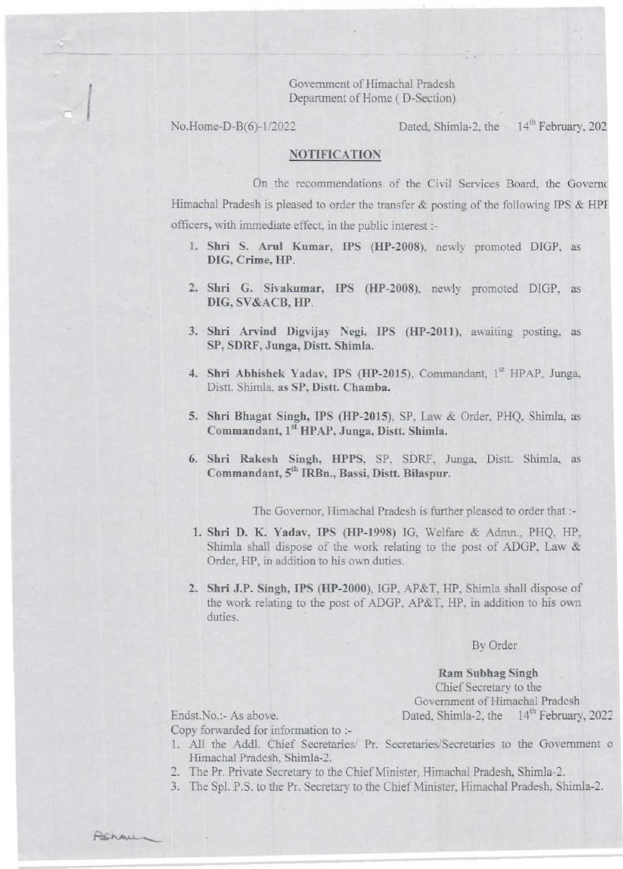Government of Himachal Pradesh Department of Home ( D-Section)

I

No.Home-D-B(6)-1/2022 Dated, Shimla-2, the 14<sup>th</sup> February, 202

## NOTIFICATION

On the recommendations of the Civil Services Board, the Governo Himachal Pradesh is pleased to order the transfer  $\&$  posting of the following IPS  $\&$  HPI officers, with immediate effect, in the public interest :-

- 1. Shri S. Arul Kumar, IPS (HP-2008), newly promoted DIGP, as DIG, Crime, HP.
- 2. Shri G. Sivakumar, IPS (HP-2008), newly promoted DIGP, as DIG, SV&ACB, HP.
- 3. Shri Arvind Digvijay Negi, IPS (HP-2011), awaiting posting, as SP, SDRF, Junga, Distt. Shimla.
- 4. Shri Abhishek Yadav, IPS (HP-2015). Commandant, 1st HPAP, Junga, Distt. Shimla, as SP, Distt. Chamba.
- 5. Shri Bhagat Singh, IPS (HP-2015), SP, Law & Order, PHQ, Shimla, as Commandant, 1<sup>st</sup> HPAP, Junga, Distt. Shimla.
- 6. Shri Rakesb Singh, HPPS. SP. SDRF. Junga. Distt. Shimla, as Commandant, 5<sup>th</sup> IRBn., Bassi, Distt. Bilaspur.

The Governor, Himachal Pradesh is further pleased to order that :-

- 1. Shri D. K. Yadav, IPS (HP-1998) IG. Welfare & Admn., PHQ. HP, Shimla shall dispose of the work relating to the post of ADGP. Law & Order. HP, in addition to his own duties.
- 2. Shri J.P. Singh, IPS (HP-2000). IGP. AP&T. HP. Shimla shall dispose of the work relating to the post of ADGP, AP&T, HP, in addition to his own duties.

## By Order

## Ram Subhag Singb

Chief Secretary to the Goyemment of Himachal Pradesh Endst.No.:- As above. Dated. Shimla-2, the 14<sup>th</sup> February. 2022

Copy forwarded for information to :-

- 1. All the Addl. Chief Secretaries/ Pr. Secretaries/Secretaries to the Government o Himachal Pradesh. Shimla-2.
- 2. The Pr. Private Secretary to the Chief Minister, Himachal Pradesh, Shimla-2.
- 3. The Spl. P.S. to the Pr. Secretary to the Chief Minister, Himachal Pradesh, Shimla-2.